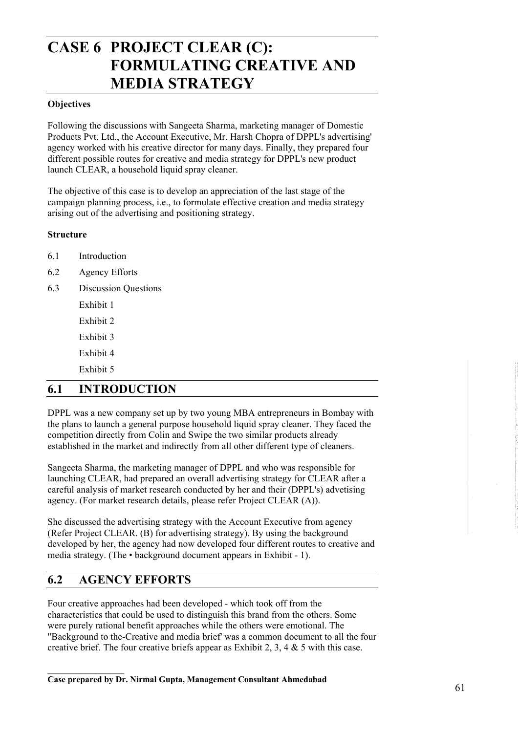# **CASE 6 PROJECT CLEAR (C): FORMULATING CREATIVE AND MEDIA STRATEGY**

#### **Objectives**

Following the discussions with Sangeeta Sharma, marketing manager of Domestic Products Pvt. Ltd., the Account Executive, Mr. Harsh Chopra of DPPL's advertising' agency worked with his creative director for many days. Finally, they prepared four different possible routes for creative and media strategy for DPPL's new product launch CLEAR, a household liquid spray cleaner.

The objective of this case is to develop an appreciation of the last stage of the campaign planning process, i.e., to formulate effective creation and media strategy arising out of the advertising and positioning strategy.

#### **Structure**

- 6.1 Introduction
- 6.2 Agency Efforts
- 6.3 Discussion Questions

Exhibit 1

Exhibit 2

Exhibit 3

Exhibit 4

Exhibit 5

## **6.1 INTRODUCTION**

DPPL was a new company set up by two young MBA entrepreneurs in Bombay with the plans to launch a general purpose household liquid spray cleaner. They faced the competition directly from Colin and Swipe the two similar products already established in the market and indirectly from all other different type of cleaners.

Sangeeta Sharma, the marketing manager of DPPL and who was responsible for launching CLEAR, had prepared an overall advertising strategy for CLEAR after a careful analysis of market research conducted by her and their (DPPL's) advetising agency. (For market research details, please refer Project CLEAR (A)).

She discussed the advertising strategy with the Account Executive from agency (Refer Project CLEAR. (B) for advertising strategy). By using the background developed by her, the agency had now developed four different routes to creative and media strategy. (The • background document appears in Exhibit - 1).

## **6.2 AGENCY EFFORTS**

Four creative approaches had been developed - which took off from the characteristics that could be used to distinguish this brand from the others. Some were purely rational benefit approaches while the others were emotional. The "Background to the-Creative and media brief' was a common document to all the four creative brief. The four creative briefs appear as Exhibit 2, 3, 4 & 5 with this case.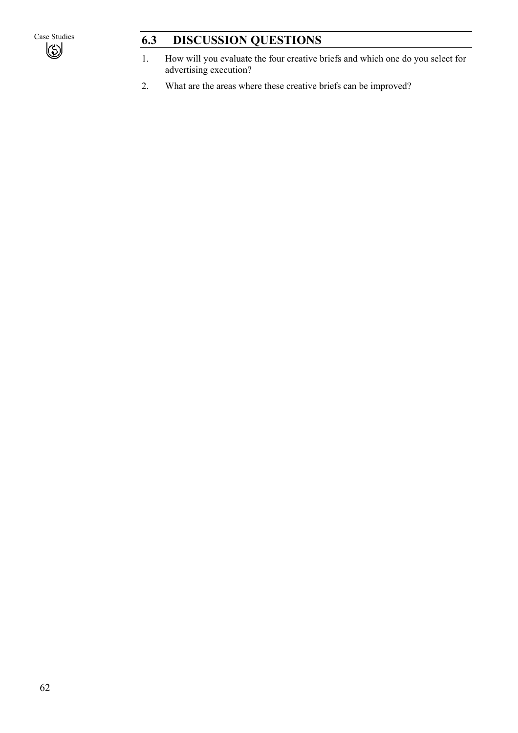

# Case Studies **6.3 DISCUSSION QUESTIONS**

- 1. How will you evaluate the four creative briefs and which one do you select for advertising execution?
- 2. What are the areas where these creative briefs can be improved?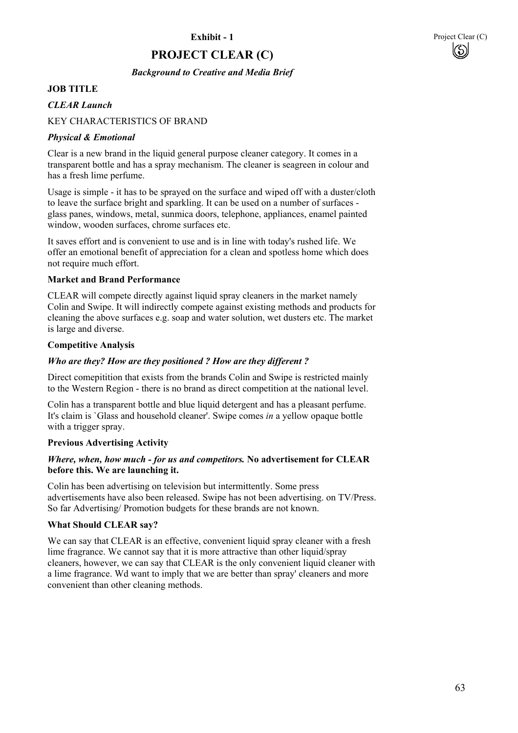#### *Background to Creative and Media Brief*



#### **JOB TITLE**

#### *CLEAR Launch*

#### KEY CHARACTERISTICS OF BRAND

#### *Physical & Emotional*

Clear is a new brand in the liquid general purpose cleaner category. It comes in a transparent bottle and has a spray mechanism. The cleaner is seagreen in colour and has a fresh lime perfume.

Usage is simple - it has to be sprayed on the surface and wiped off with a duster/cloth to leave the surface bright and sparkling. It can be used on a number of surfaces glass panes, windows, metal, sunmica doors, telephone, appliances, enamel painted window, wooden surfaces, chrome surfaces etc.

It saves effort and is convenient to use and is in line with today's rushed life. We offer an emotional benefit of appreciation for a clean and spotless home which does not require much effort.

#### **Market and Brand Performance**

CLEAR will compete directly against liquid spray cleaners in the market namely Colin and Swipe. It will indirectly compete against existing methods and products for cleaning the above surfaces e.g. soap and water solution, wet dusters etc. The market is large and diverse.

#### **Competitive Analysis**

#### *Who are they? How are they positioned ? How are they different ?*

Direct comepitition that exists from the brands Colin and Swipe is restricted mainly to the Western Region - there is no brand as direct competition at the national level.

Colin has a transparent bottle and blue liquid detergent and has a pleasant perfume. It's claim is `Glass and household cleaner'. Swipe comes *in* a yellow opaque bottle with a trigger spray.

#### **Previous Advertising Activity**

#### *Where, when, how much - for us and competitors.* **No advertisement for CLEAR before this. We are launching it.**

Colin has been advertising on television but intermittently. Some press advertisements have also been released. Swipe has not been advertising. on TV/Press. So far Advertising/ Promotion budgets for these brands are not known.

#### **What Should CLEAR say?**

We can say that CLEAR is an effective, convenient liquid spray cleaner with a fresh lime fragrance. We cannot say that it is more attractive than other liquid/spray cleaners, however, we can say that CLEAR is the only convenient liquid cleaner with a lime fragrance. Wd want to imply that we are better than spray' cleaners and more convenient than other cleaning methods.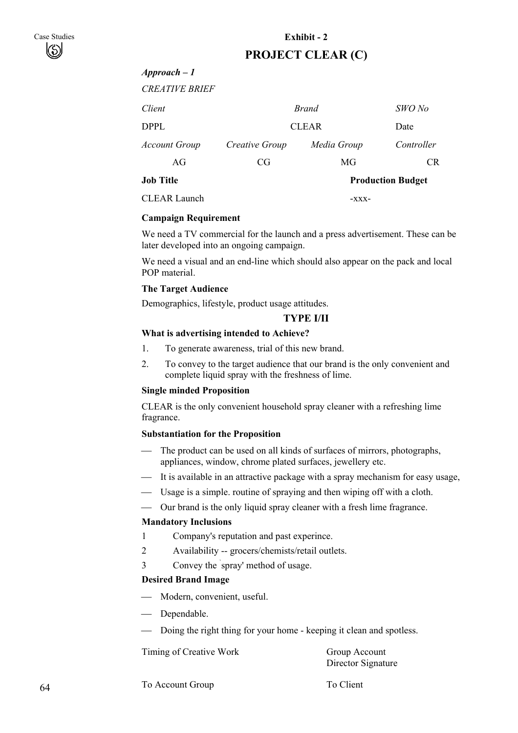## **Exhibit - 2**

## **PROJECT CLEAR (C)**

| $Approach-1$          |                |             |                          |
|-----------------------|----------------|-------------|--------------------------|
| <b>CREATIVE BRIEF</b> |                |             |                          |
| Client                | <b>Brand</b>   |             | <i>SWO No</i>            |
| DPPL                  | <b>CLEAR</b>   |             | Date                     |
| <b>Account Group</b>  | Creative Group | Media Group | Controller               |
| AG                    | CG             | MG          | CR.                      |
| <b>Job Title</b>      |                |             | <b>Production Budget</b> |
| <b>CLEAR Launch</b>   |                | -XXX-       |                          |

#### **Campaign Requirement**

We need a TV commercial for the launch and a press advertisement. These can be later developed into an ongoing campaign.

We need a visual and an end-line which should also appear on the pack and local POP material.

#### **The Target Audience**

Demographics, lifestyle, product usage attitudes.

#### **TYPE I/II**

#### **What is advertising intended to Achieve?**

- 1. To generate awareness, trial of this new brand.
- 2. To convey to the target audience that our brand is the only convenient and complete liquid spray with the freshness of lime.

#### **Single minded Proposition**

CLEAR is the only convenient household spray cleaner with a refreshing lime fragrance.

#### **Substantiation for the Proposition**

- The product can be used on all kinds of surfaces of mirrors, photographs, appliances, window, chrome plated surfaces, jewellery etc.
- It is available in an attractive package with a spray mechanism for easy usage,
- Usage is a simple. routine of spraying and then wiping off with a cloth.
- Our brand is the only liquid spray cleaner with a fresh lime fragrance.

#### **Mandatory Inclusions**

- 1 Company's reputation and past experince.
- 2 Availability -- grocers/chemists/retail outlets.
- 3 Convey the ` spray' method of usage.

#### **Desired Brand Image**

- Modern, convenient, useful.
- Dependable.
- Doing the right thing for your home keeping it clean and spotless.

Timing of Creative Work Group Account

Director Signature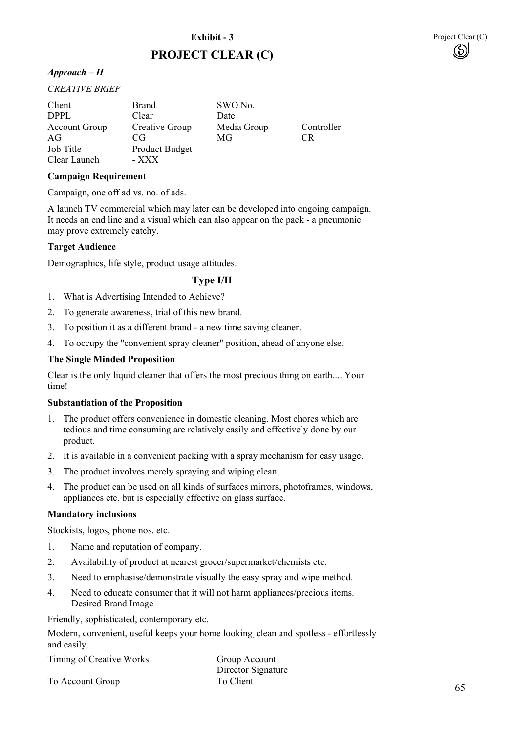#### *Approach – II*

#### *CREATIVE BRIEF*

| Client               | <b>Brand</b>          | SWO No.     |            |
|----------------------|-----------------------|-------------|------------|
| DPPL                 | Clear                 | Date        |            |
| <b>Account Group</b> | Creative Group        | Media Group | Controller |
| AG                   | CG                    | MG          | CR         |
| Job Title            | <b>Product Budget</b> |             |            |
| Clear Launch         | $-$ XXX               |             |            |

#### **Campaign Requirement**

Campaign, one off ad vs. no. of ads.

A launch TV commercial which may later can be developed into ongoing campaign. It needs an end line and a visual which can also appear on the pack - a pneumonic may prove extremely catchy.

#### **Target Audience**

Demographics, life style, product usage attitudes.

#### **Type I/II**

- 1. What is Advertising Intended to Achieve?
- 2. To generate awareness, trial of this new brand.
- 3. To position it as a different brand a new time saving cleaner.
- 4. To occupy the "convenient spray cleaner" position, ahead of anyone else.

#### **The Single Minded Proposition**

Clear is the only liquid cleaner that offers the most precious thing on earth.... Your time!

#### **Substantiation of the Proposition**

- 1. The product offers convenience in domestic cleaning. Most chores which are tedious and time consuming are relatively easily and effectively done by our product.
- 2. It is available in a convenient packing with a spray mechanism for easy usage.
- 3. The product involves merely spraying and wiping clean.
- 4. The product can be used on all kinds of surfaces mirrors, photoframes, windows, appliances etc. but is especially effective on glass surface.

#### **Mandatory inclusions**

Stockists, logos, phone nos. etc.

- 1. Name and reputation of company.
- 2. Availability of product at nearest grocer/supermarket/chemists etc.
- 3. Need to emphasise/demonstrate visually the easy spray and wipe method.
- 4. Need to educate consumer that it will not harm appliances/precious items. Desired Brand Image

Friendly, sophisticated, contemporary etc.

Modern, convenient, useful keeps your home looking. clean and spotless - effortlessly and easily.

| Timing of Creative Works | Group Account      |  |
|--------------------------|--------------------|--|
|                          | Director Signature |  |
| To Account Group         | To Client          |  |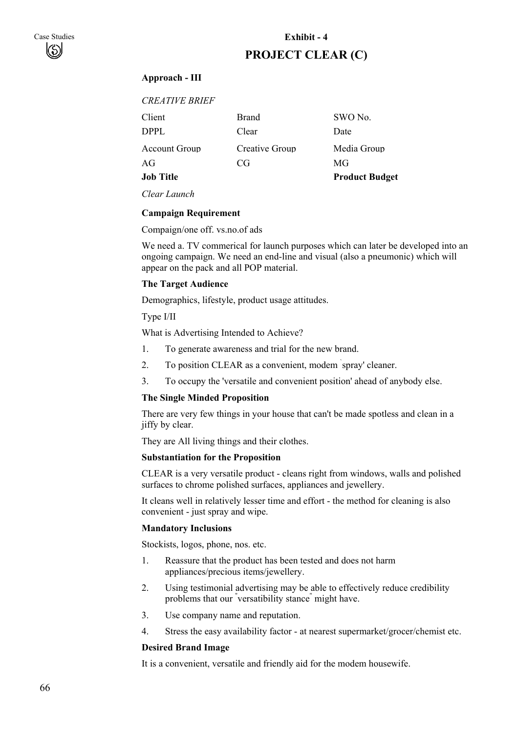## **Approach - III**

| <b>Job Title</b>      |                | <b>Product Budget</b> |
|-----------------------|----------------|-----------------------|
| AG                    | CG             | MG                    |
| <b>Account Group</b>  | Creative Group | Media Group           |
| DPPL.                 | Clear          | Date                  |
| Client                | <b>Brand</b>   | SWO No.               |
| <b>CREATIVE BRIEF</b> |                |                       |

*Clear Launch*

#### **Campaign Requirement**

Compaign/one off. vs.no.of ads

We need a. TV commerical for launch purposes which can later be developed into an ongoing campaign. We need an end-line and visual (also a pneumonic) which will appear on the pack and all POP material.

#### **The Target Audience**

Demographics, lifestyle, product usage attitudes.

Type I/II

What is Advertising Intended to Achieve?

- 1. To generate awareness and trial for the new brand.
- 2. To position CLEAR as a convenient, modem ` spray' cleaner.
- 3. To occupy the 'versatile and convenient position' ahead of anybody else.

#### **The Single Minded Proposition**

There are very few things in your house that can't be made spotless and clean in a jiffy by clear.

They are All living things and their clothes.

#### **Substantiation for the Proposition**

CLEAR is a very versatile product - cleans right from windows, walls and polished surfaces to chrome polished surfaces, appliances and jewellery.

It cleans well in relatively lesser time and effort - the method for cleaning is also convenient - just spray and wipe.

#### **Mandatory Inclusions**

Stockists, logos, phone, nos. etc.

- 1. Reassure that the product has been tested and does not harm appliances/precious items/jewellery.
- 2. Using testimonial advertising may be able to effectively reduce credibility problems that our " versatibility stance" might have.
- 3. Use company name and reputation.
- 4. Stress the easy availability factor at nearest supermarket/grocer/chemist etc.

#### **Desired Brand Image**

It is a convenient, versatile and friendly aid for the modem housewife.